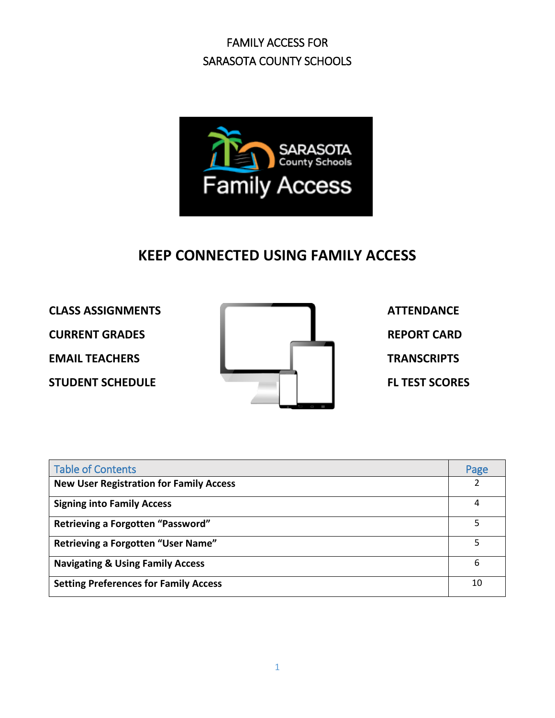

### **KEEP CONNECTED USING FAMILY ACCESS**



| <b>Table of Contents</b>                       | Page |
|------------------------------------------------|------|
| <b>New User Registration for Family Access</b> | 2    |
| <b>Signing into Family Access</b>              | 4    |
| Retrieving a Forgotten "Password"              | 5    |
| <b>Retrieving a Forgotten "User Name"</b>      | 5    |
| <b>Navigating &amp; Using Family Access</b>    | 6    |
| <b>Setting Preferences for Family Access</b>   | 10   |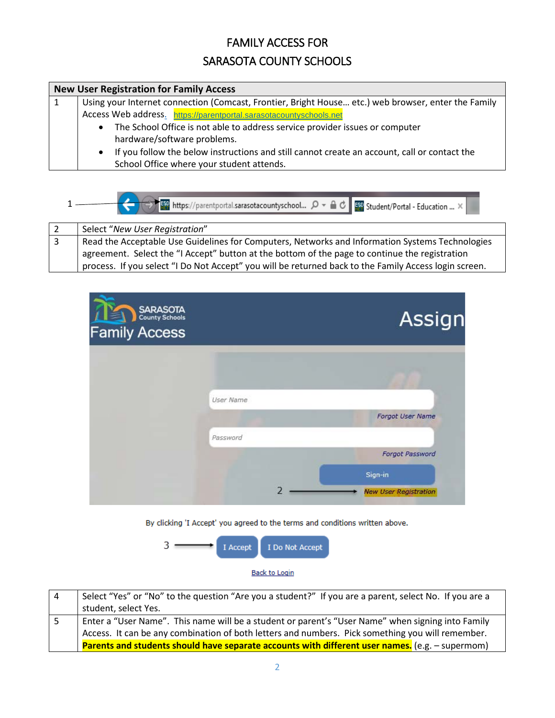### FAMILY ACCESS FOR

### SARASOTA COUNTY SCHOOLS

| <b>New User Registration for Family Access</b>                                                            |  |  |  |
|-----------------------------------------------------------------------------------------------------------|--|--|--|
| Using your Internet connection (Comcast, Frontier, Bright House etc.) web browser, enter the Family       |  |  |  |
| Access Web address. https://parentportal.sarasotacountyschools.net                                        |  |  |  |
| The School Office is not able to address service provider issues or computer<br>$\bullet$                 |  |  |  |
| hardware/software problems.                                                                               |  |  |  |
| If you follow the below instructions and still cannot create an account, call or contact the<br>$\bullet$ |  |  |  |
| School Office where your student attends.                                                                 |  |  |  |

| → <del>Separation</del> https://parentportal.sarasotacountyschool ○ - △ d Bay Student/Portal - Education  × |
|-------------------------------------------------------------------------------------------------------------|
| Select "New User Registration"                                                                              |
| Read the Acceptable Use Guidelines for Computers, Networks and Information Systems Technologies             |

agreement. Select the "I Accept" button at the bottom of the page to continue the registration process. If you select "I Do Not Accept" you will be returned back to the Family Access login screen.



By clicking 'I Accept' you agreed to the terms and conditions written above.



| -4 | Select "Yes" or "No" to the question "Are you a student?" If you are a parent, select No. If you are a |
|----|--------------------------------------------------------------------------------------------------------|
|    | student, select Yes.                                                                                   |
|    | Enter a "User Name". This name will be a student or parent's "User Name" when signing into Family      |
|    | Access. It can be any combination of both letters and numbers. Pick something you will remember.       |
|    | Parents and students should have separate accounts with different user names. (e.g. - supermom)        |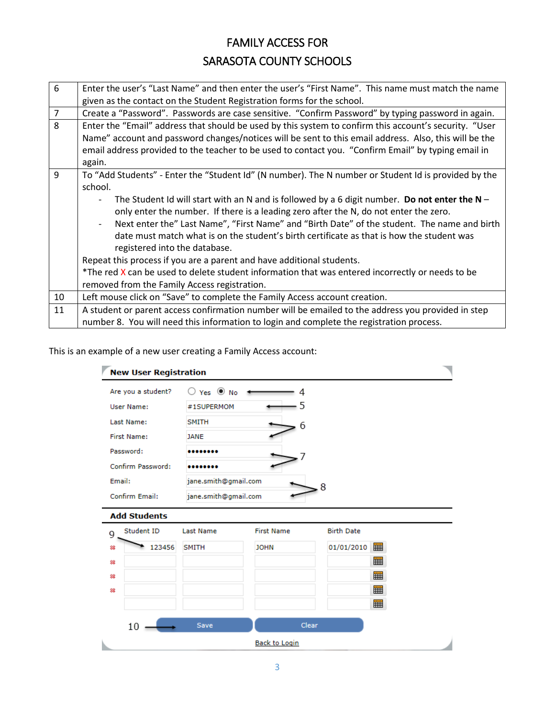| 6              | Enter the user's "Last Name" and then enter the user's "First Name". This name must match the name     |  |  |  |  |
|----------------|--------------------------------------------------------------------------------------------------------|--|--|--|--|
|                | given as the contact on the Student Registration forms for the school.                                 |  |  |  |  |
| $\overline{7}$ | Create a "Password". Passwords are case sensitive. "Confirm Password" by typing password in again.     |  |  |  |  |
| 8              | Enter the "Email" address that should be used by this system to confirm this account's security. "User |  |  |  |  |
|                | Name" account and password changes/notices will be sent to this email address. Also, this will be the  |  |  |  |  |
|                | email address provided to the teacher to be used to contact you. "Confirm Email" by typing email in    |  |  |  |  |
|                | again.                                                                                                 |  |  |  |  |
| 9              | To "Add Students" - Enter the "Student Id" (N number). The N number or Student Id is provided by the   |  |  |  |  |
|                | school.                                                                                                |  |  |  |  |
|                | The Student Id will start with an N and is followed by a 6 digit number. Do not enter the $N-$         |  |  |  |  |
|                | only enter the number. If there is a leading zero after the N, do not enter the zero.                  |  |  |  |  |
|                | Next enter the" Last Name", "First Name" and "Birth Date" of the student. The name and birth           |  |  |  |  |
|                | date must match what is on the student's birth certificate as that is how the student was              |  |  |  |  |
|                | registered into the database.                                                                          |  |  |  |  |
|                | Repeat this process if you are a parent and have additional students.                                  |  |  |  |  |
|                | *The red X can be used to delete student information that was entered incorrectly or needs to be       |  |  |  |  |
|                | removed from the Family Access registration.                                                           |  |  |  |  |
| 10             | Left mouse click on "Save" to complete the Family Access account creation.                             |  |  |  |  |
| 11             | A student or parent access confirmation number will be emailed to the address you provided in step     |  |  |  |  |
|                | number 8. You will need this information to login and complete the registration process.               |  |  |  |  |

### This is an example of a new user creating a Family Access account:

|        | <b>New User Registration</b> |                                  |                   |                   |  |
|--------|------------------------------|----------------------------------|-------------------|-------------------|--|
|        | Are you a student?           | $\bigcirc$ Yes $\circledcirc$ No | 4                 |                   |  |
|        | User Name:                   | #1SUPERMOM                       | 5                 |                   |  |
|        | Last Name:                   | <b>SMITH</b>                     | 6                 |                   |  |
|        | <b>First Name:</b>           | <b>JANE</b>                      |                   |                   |  |
|        | Password:                    |                                  |                   |                   |  |
|        | Confirm Password:            |                                  |                   |                   |  |
| Email: |                              | jane.smith@gmail.com             |                   | 8                 |  |
|        | Confirm Email:               | jane.smith@gmail.com             |                   |                   |  |
|        | <b>Add Students</b>          |                                  |                   |                   |  |
|        |                              |                                  |                   |                   |  |
| 9      | Student ID                   | <b>Last Name</b>                 | <b>First Name</b> | <b>Birth Date</b> |  |
| 88     | 123456                       | SMITH                            | <b>JOHN</b>       | 01/01/2010        |  |
| 88     |                              |                                  |                   | ⊞                 |  |
| 惢      |                              |                                  |                   |                   |  |
| 综      |                              |                                  |                   |                   |  |
|        |                              |                                  |                   |                   |  |
|        | 10                           | Save                             | <b>Clear</b>      |                   |  |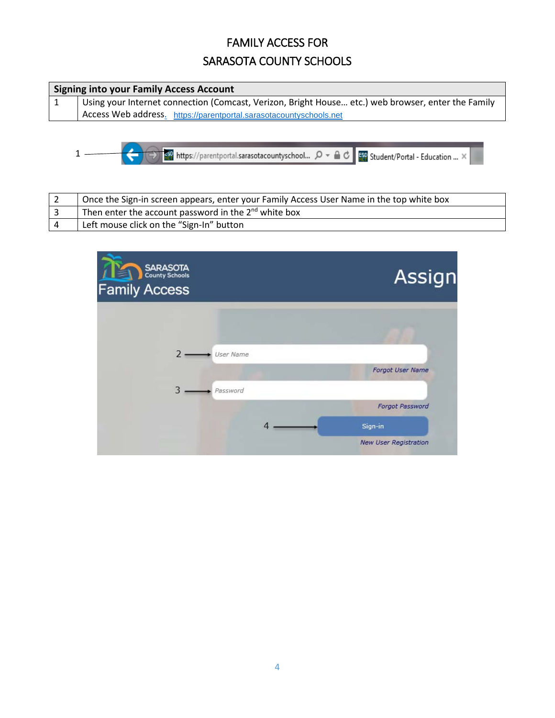| <b>Signing into your Family Access Account</b> |                                                                                                    |  |  |
|------------------------------------------------|----------------------------------------------------------------------------------------------------|--|--|
|                                                | Using your Internet connection (Comcast, Verizon, Bright House etc.) web browser, enter the Family |  |  |
|                                                | Access Web address. https://parentportal.sarasotacountyschools.net                                 |  |  |

| <sub>1989</sub> https://parentportal.sarasotacountyschool... の → △ C B Student/Portal - Education ... × 1€ ID.

| Once the Sign-in screen appears, enter your Family Access User Name in the top white box |
|------------------------------------------------------------------------------------------|
| Then enter the account password in the $2^{nd}$ white box                                |
| Left mouse click on the "Sign-In" button                                                 |

| SARASOTA<br>County Schools<br><b>Family Access</b> |                               | Assign                       |
|----------------------------------------------------|-------------------------------|------------------------------|
|                                                    |                               |                              |
| User Name                                          |                               |                              |
|                                                    |                               | Forgot User Name             |
| 3<br>Password                                      |                               |                              |
|                                                    |                               | Forgot Password              |
|                                                    | $\overline{4}$ $\overline{)}$ | Sign-in                      |
|                                                    |                               | <b>New User Registration</b> |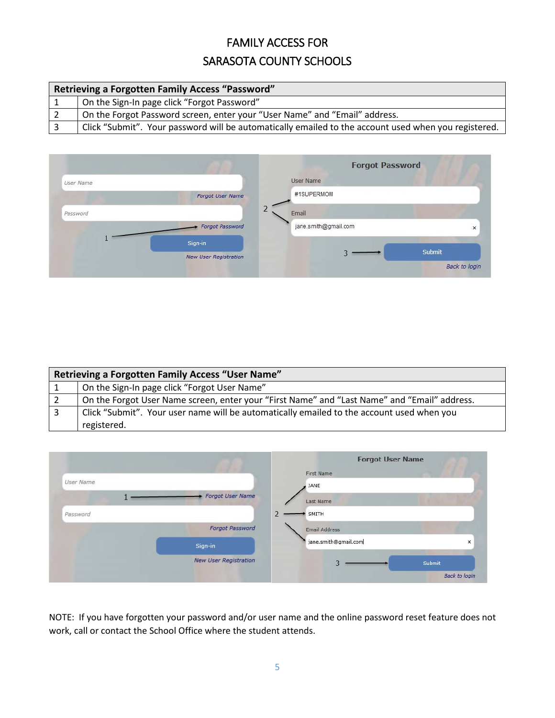| <b>Retrieving a Forgotten Family Access "Password"</b> |                                                                                                      |  |  |
|--------------------------------------------------------|------------------------------------------------------------------------------------------------------|--|--|
|                                                        | On the Sign-In page click "Forgot Password"                                                          |  |  |
|                                                        | On the Forgot Password screen, enter your "User Name" and "Email" address.                           |  |  |
|                                                        | Click "Submit". Your password will be automatically emailed to the account used when you registered. |  |  |



| <b>Retrieving a Forgotten Family Access "User Name"</b>                                      |  |  |
|----------------------------------------------------------------------------------------------|--|--|
| On the Sign-In page click "Forgot User Name"                                                 |  |  |
| On the Forgot User Name screen, enter your "First Name" and "Last Name" and "Email" address. |  |  |
| Click "Submit". Your user name will be automatically emailed to the account used when you    |  |  |
| registered.                                                                                  |  |  |



NOTE: If you have forgotten your password and/or user name and the online password reset feature does not work, call or contact the School Office where the student attends.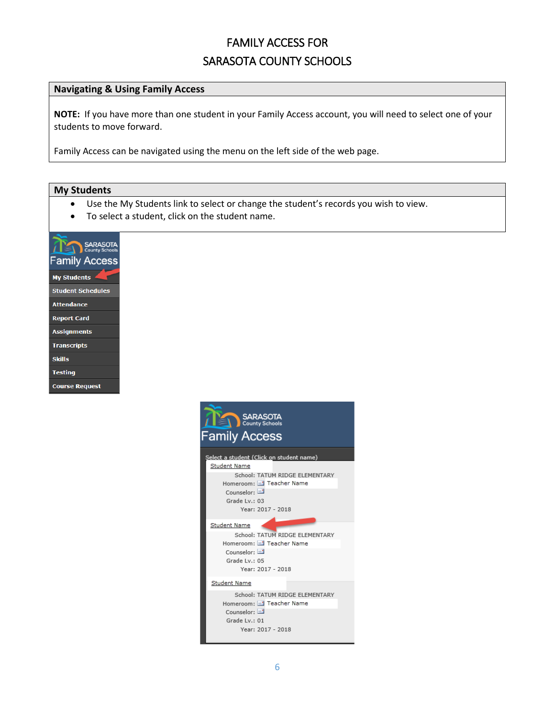### **Navigating & Using Family Access**

**NOTE:** If you have more than one student in your Family Access account, you will need to select one of your students to move forward.

Family Access can be navigated using the menu on the left side of the web page.

#### **My Students**

- Use the My Students link to select or change the student's records you wish to view.
- To select a student, click on the student name.



| SARASOTA<br><b>Family Access</b>         |  |
|------------------------------------------|--|
| Select a student (Click on student name) |  |
| Student Name                             |  |
| School: TATUM RIDGE ELEMENTARY           |  |
| Homeroom: El Teacher Name                |  |
| Counselor: $E$                           |  |
| Grade Lv.: 03                            |  |
| Year: 2017 - 2018                        |  |
| Student Name                             |  |
| School: TATUM RIDGE ELEMENTARY           |  |
| Homeroom: El Teacher Name                |  |
| Counselor: $\equiv$                      |  |
| Grade Lv.: 05                            |  |
| Year: 2017 - 2018                        |  |
| Student Name                             |  |
|                                          |  |
| School: TATUM RIDGE ELEMENTARY           |  |
| Homeroom: El Teacher Name                |  |
| Counselor: $\Box$                        |  |
| Grade Lv.: 01                            |  |
| Year: 2017 - 2018                        |  |
|                                          |  |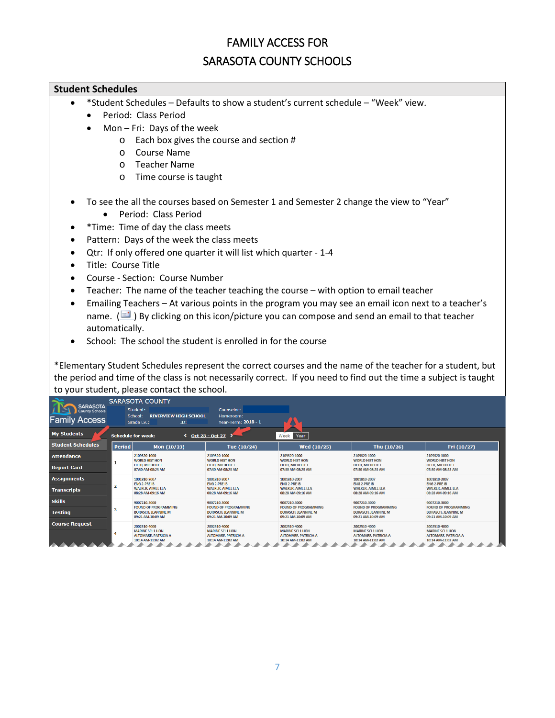### FAMILY ACCESS FOR

### SARASOTA COUNTY SCHOOLS

#### **Student Schedules**

- \*Student Schedules Defaults to show a student's current schedule "Week" view.
	- Period: Class Period
	- Mon Fri: Days of the week
		- o Each box gives the course and section #
		- o Course Name
		- o Teacher Name
		- o Time course is taught
- To see the all the courses based on Semester 1 and Semester 2 change the view to "Year"
	- Period: Class Period
- \* Time: Time of day the class meets
- Pattern: Days of the week the class meets
- Qtr: If only offered one quarter it will list which quarter 1-4
- Title: Course Title
- Course Section: Course Number
- Teacher: The name of the teacher teaching the course with option to email teacher
- Emailing Teachers At various points in the program you may see an email icon next to a teacher's name. ( $\Box$ ) By clicking on this icon/picture you can compose and send an email to that teacher automatically.
- School: The school the student is enrolled in for the course

\*Elementary Student Schedules represent the correct courses and the name of the teacher for a student, but the period and time of the class is not necessarily correct. If you need to find out the time a subject is taught to your student, please contact the school.

| <b>SARASOTA</b>                               |                                                              | <b>SARASOTA COUNTY</b>                                                                     |                                                                                            |                                                                                            |                                                                                            |                                                                                            |  |  |  |  |
|-----------------------------------------------|--------------------------------------------------------------|--------------------------------------------------------------------------------------------|--------------------------------------------------------------------------------------------|--------------------------------------------------------------------------------------------|--------------------------------------------------------------------------------------------|--------------------------------------------------------------------------------------------|--|--|--|--|
| <b>County Schools</b><br><b>Family Access</b> |                                                              | Student:<br><b>RIVERVIEW HIGH SCHOOL</b><br>School:<br>Grade Lv.:<br>ID:                   | Counselor:<br>Homeroom:<br>Year-Term: 2018 - 1                                             |                                                                                            |                                                                                            |                                                                                            |  |  |  |  |
| <b>My Students</b>                            | Oct 23 - Oct 27<br><b>Schedule for week:</b><br>Week<br>Year |                                                                                            |                                                                                            |                                                                                            |                                                                                            |                                                                                            |  |  |  |  |
| <b>Student Schedules</b>                      | <b>Period</b>                                                | Mon $(10/23)$                                                                              | Tue (10/24)                                                                                | Wed (10/25)                                                                                | Thu (10/26)                                                                                | Fri (10/27)                                                                                |  |  |  |  |
| <b>Attendance</b>                             |                                                              | 2109320-1000<br><b>WORLD HIST HON</b>                                                      | 2109320-1000<br><b>WORLD HIST HON</b>                                                      | 2109320-1000<br><b>WORLD HIST HON</b>                                                      | 2109320-1000<br><b>WORLD HIST HON</b>                                                      | 2109320-1000<br><b>WORLD HIST HON</b>                                                      |  |  |  |  |
| <b>Report Card</b>                            |                                                              | <b>FIELD, MICHELLE L</b><br>07:30 AM-08:23 AM                                              | <b>FIELD, MICHELLE L</b><br>07:30 AM-08:23 AM                                              | <b>FIELD, MICHELLE L</b><br>07:30 AM-08:23 AM                                              | <b>FIELD, MICHELLE L</b><br>07:30 AM-08:23 AM                                              | <b>FIELD, MICHELLE L</b><br>07:30 AM-08:23 AM                                              |  |  |  |  |
| <b>Assignments</b>                            |                                                              | 1001810-2007<br><b>ENG 2-PRE IB</b>                                                        | 1001810-2007<br><b>ENG 2-PRE IB</b>                                                        | 1001810-2007<br><b>ENG 2-PRE IB</b>                                                        | 1001810-2007<br><b>ENG 2-PRE IB</b>                                                        | 1001810-2007<br><b>ENG 2-PRE IB</b>                                                        |  |  |  |  |
| <b>Transcripts</b>                            | $\overline{\mathbf{2}}$                                      | <b>WALKER, AIMEE LEA</b><br>08:28 AM-09:16 AM                                              | <b>WALKER, AIMEE LEA</b><br>08:28 AM-09:16 AM                                              | <b>WALKER, AIMEE LEA</b><br>08:28 AM-09:16 AM                                              | <b>WALKER, AIMEE LEA</b><br>08:28 AM-09:16 AM                                              | <b>WALKER, AIMEE LEA</b><br>08:28 AM-09:16 AM                                              |  |  |  |  |
| <b>Skills</b>                                 |                                                              | 9007210-3000<br><b>FOUND OF PROGRAMMING</b>                                                | 9007210-3000<br><b>FOUND OF PROGRAMMING</b>                                                | 9007210-3000<br><b>FOUND OF PROGRAMMING</b>                                                | 9007210-3000<br><b>FOUND OF PROGRAMMING</b>                                                | 9007210-3000<br><b>FOUND OF PROGRAMMING</b>                                                |  |  |  |  |
| <b>Testing</b>                                | 3                                                            | <b>BORASCH, JEANNINE M</b><br>09:21 AM-10:09 AM                                            | <b>BORASCH, JEANNINE M</b><br>09:21 AM-10:09 AM                                            | <b>BORASCH, JEANNINE M</b><br>09:21 AM-10:09 AM                                            | <b>BORASCH, JEANNINE M</b><br>09:21 AM-10:09 AM                                            | <b>BORASCH, JEANNINE M</b><br>09:21 AM-10:09 AM                                            |  |  |  |  |
| <b>Course Request</b>                         | 4                                                            | 2002510-4000<br><b>MARINE SCL1 HON</b><br><b>ALTOMARE, PATRICIA A</b><br>10:14 AM-11:02 AM | 2002510-4000<br><b>MARINE SCL1 HON</b><br><b>ALTOMARE, PATRICIA A</b><br>10:14 AM-11:02 AM | 2002510-4000<br><b>MARINE SCL1 HON</b><br><b>ALTOMARE, PATRICIA A</b><br>10:14 AM-11:02 AM | 2002510-4000<br><b>MARINE SCL1 HON</b><br><b>ALTOMARE, PATRICIA A</b><br>10:14 AM-11:02 AM | 2002510-4000<br><b>MARINE SCL1 HON</b><br><b>ALTOMARE, PATRICIA A</b><br>10:14 AM-11:02 AM |  |  |  |  |
|                                               |                                                              |                                                                                            |                                                                                            |                                                                                            |                                                                                            |                                                                                            |  |  |  |  |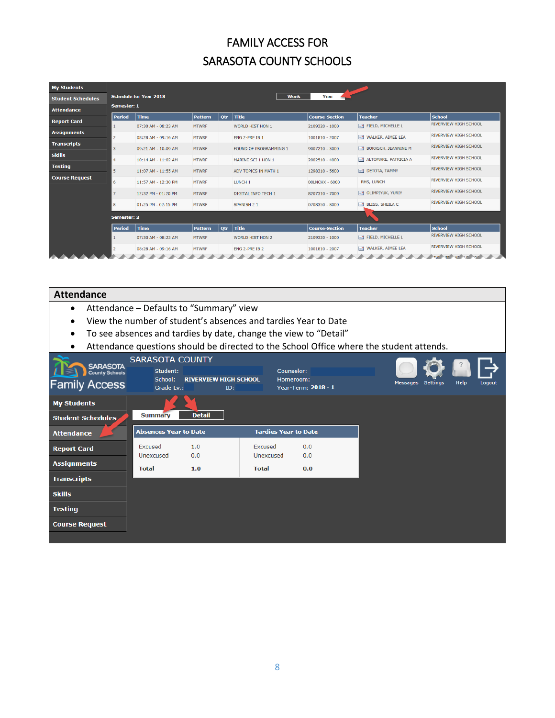| <b>My Students</b>       |                |                               |                |            |                               |                       |                                           |                              |  |  |
|--------------------------|----------------|-------------------------------|----------------|------------|-------------------------------|-----------------------|-------------------------------------------|------------------------------|--|--|
| <b>Student Schedules</b> |                | <b>Schedule for Year 2018</b> |                |            | <b>Week</b>                   | Year                  |                                           |                              |  |  |
| <b>Attendance</b>        | Semester: 1    |                               |                |            |                               |                       |                                           |                              |  |  |
|                          | <b>Period</b>  | <b>Time</b>                   | <b>Pattern</b> | <b>Otr</b> | <b>Title</b>                  | <b>Course-Section</b> | <b>Teacher</b>                            | <b>School</b>                |  |  |
| <b>Report Card</b>       |                | 07:30 AM - 08:23 AM           | <b>MTWRF</b>   |            | <b>WORLD HIST HON 1</b>       | 2109320 - 1000        | $\equiv$ FIELD, MICHELLE L                | <b>RIVERVIEW HIGH SCHOOL</b> |  |  |
| <b>Assignments</b>       | 2              | 08:28 AM - 09:16 AM           | <b>MTWRF</b>   |            | ENG 2-PRE IB 1                | 1001810 - 2007        | $\equiv$ <sup>1</sup> WALKER, AIMEE LEA   | <b>RIVERVIEW HIGH SCHOOL</b> |  |  |
| <b>Transcripts</b>       | 3              | 09:21 AM - 10:09 AM           | <b>MTWRF</b>   |            | <b>FOUND OF PROGRAMMING 1</b> | $9007210 - 3000$      | $\equiv$ <sup>1</sup> BORASCH, JEANNINE M | <b>RIVERVIEW HIGH SCHOOL</b> |  |  |
| <b>Skills</b>            | $\overline{4}$ | 10:14 AM - 11:02 AM           | <b>MTWRF</b>   |            | MARINE SCI 1 HON 1            | 2002510 - 4000        | $\equiv$ 1 ALTOMARE, PATRICIA A           | <b>RIVERVIEW HIGH SCHOOL</b> |  |  |
| <b>Testing</b>           | 5              | 11:07 AM - 11:55 AM           | <b>MTWRF</b>   |            | ADV TOPICS IN MATH 1          | 1298310 - 5600        | <b>EL DETOTA, TAMMY</b>                   | <b>RIVERVIEW HIGH SCHOOL</b> |  |  |
| <b>Course Request</b>    | 6              | 11:57 AM - 12:30 PM           | <b>MTWRF</b>   |            | LUNCH <sub>1</sub>            | <b>OOLNCHX - 6000</b> | <b>RHS, LUNCH</b>                         | <b>RIVERVIEW HIGH SCHOOL</b> |  |  |
|                          | 7              | 12:32 PM - 01:20 PM           | <b>MTWRF</b>   |            | <b>DIGITAL INFO TECH 1</b>    | 8207310 - 7000        | $\equiv$ OLIMPIYUK, YURIY                 | <b>RIVERVIEW HIGH SCHOOL</b> |  |  |
|                          | 8              | 01:25 PM - 02:15 PM           | <b>MTWRF</b>   |            | <b>SPANISH 2 1</b>            | 0708350 - 8000        | $\equiv$ BLISS, SHEILA C                  | <b>RIVERVIEW HIGH SCHOOL</b> |  |  |
|                          |                |                               |                |            |                               |                       |                                           |                              |  |  |
|                          | Semester: 2    |                               |                |            |                               |                       |                                           |                              |  |  |
|                          | <b>Period</b>  | <b>Time</b>                   | <b>Pattern</b> | Qtr        | Title                         | <b>Course-Section</b> | <b>Teacher</b>                            | <b>School</b>                |  |  |
|                          |                | 07:30 AM - 08:23 AM           | <b>MTWRF</b>   |            | <b>WORLD HIST HON 2</b>       | 2109320 - 1000        | $\equiv$ <sup>1</sup> FIELD, MICHELLE L   | <b>RIVERVIEW HIGH SCHOOL</b> |  |  |
|                          |                | 08:28 AM - 09:16 AM           | <b>MTWRF</b>   |            | ENG 2-PRE IB 2                | 1001810 - 2007        | $\equiv$ WALKER, AIMEE LEA                | <b>RIVERVIEW HIGH SCHOOL</b> |  |  |
|                          |                |                               |                |            |                               |                       |                                           | THE THE HE SAYS              |  |  |

| <b>Attendance</b>                                         |                                                             |                                                                                                                                                                               |                             |                     |                                                                                         |      |        |
|-----------------------------------------------------------|-------------------------------------------------------------|-------------------------------------------------------------------------------------------------------------------------------------------------------------------------------|-----------------------------|---------------------|-----------------------------------------------------------------------------------------|------|--------|
| $\bullet$                                                 |                                                             | Attendance - Defaults to "Summary" view<br>View the number of student's absences and tardies Year to Date<br>To see absences and tardies by date, change the view to "Detail" |                             |                     | Attendance questions should be directed to the School Office where the student attends. |      |        |
| SARASOTA<br><b>County Schools</b><br><b>Family Access</b> | <b>SARASOTA COUNTY</b><br>Student:<br>School:<br>Grade Lv.: | <b>RIVERVIEW HIGH SCHOOL</b><br>ID:                                                                                                                                           | Counselor:<br>Homeroom:     | Year-Term: 2018 - 1 | Messages Settings                                                                       | Help | Logout |
| <b>My Students</b>                                        |                                                             |                                                                                                                                                                               |                             |                     |                                                                                         |      |        |
| <b>Student Schedules</b>                                  | <b>Summary</b>                                              | <b>Detail</b>                                                                                                                                                                 |                             |                     |                                                                                         |      |        |
| <b>Attendance</b>                                         | <b>Absences Year to Date</b>                                |                                                                                                                                                                               | <b>Tardies Year to Date</b> |                     |                                                                                         |      |        |
| <b>Report Card</b>                                        | Excused<br>Unexcused                                        | 1.0<br>0.0                                                                                                                                                                    | Excused<br>Unexcused        | 0.0<br>0.0          |                                                                                         |      |        |
| <b>Assignments</b>                                        | <b>Total</b>                                                | 1.0                                                                                                                                                                           | <b>Total</b>                | 0.0                 |                                                                                         |      |        |
| <b>Transcripts</b>                                        |                                                             |                                                                                                                                                                               |                             |                     |                                                                                         |      |        |
| <b>Skills</b>                                             |                                                             |                                                                                                                                                                               |                             |                     |                                                                                         |      |        |
| <b>Testing</b>                                            |                                                             |                                                                                                                                                                               |                             |                     |                                                                                         |      |        |
| <b>Course Request</b>                                     |                                                             |                                                                                                                                                                               |                             |                     |                                                                                         |      |        |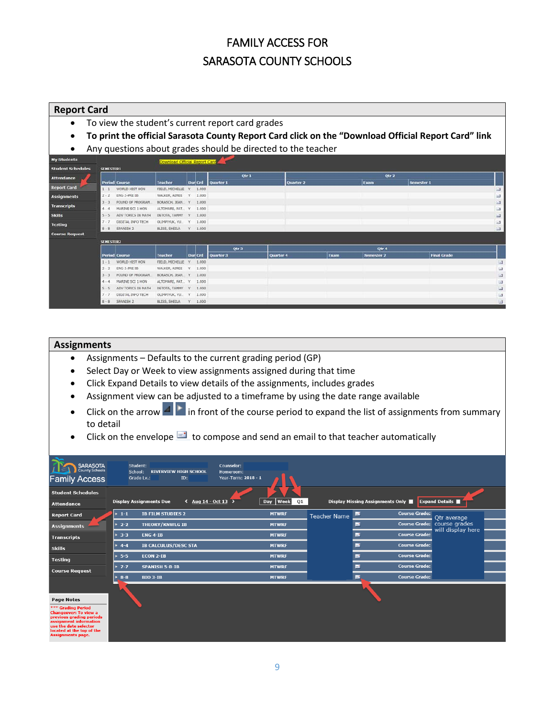#### **Report Card**

- To view the student's current report card grades
- **To print the official Sarasota County Report Card click on the "Download Official Report Card" link**
- Any questions about grades should be directed to the teacher

|         |                      |                                                                        |               |                                                              | Qtr 1                                                                                   |                               |           |      |            |                    |            |
|---------|----------------------|------------------------------------------------------------------------|---------------|--------------------------------------------------------------|-----------------------------------------------------------------------------------------|-------------------------------|-----------|------|------------|--------------------|------------|
|         |                      | <b>Teacher</b>                                                         |               |                                                              | Quarter 1                                                                               |                               | Quarter 2 |      | Exam       |                    |            |
| $1 - 1$ | WORLD HIST HON       |                                                                        | Y.            |                                                              |                                                                                         |                               |           |      |            |                    | 国          |
| $2 - 2$ | ENG 2-PRE IB         | WALKER, AIMEE                                                          | V.            |                                                              |                                                                                         |                               |           |      |            |                    | $\Box$     |
| $3 - 3$ | FOUND OF PROGRAM.    |                                                                        |               |                                                              |                                                                                         |                               |           |      |            |                    | $\Box$     |
| $4 - 4$ | MARINE SCI 1 HON     |                                                                        |               |                                                              |                                                                                         |                               |           |      |            |                    | G3         |
| $5 - 5$ | ADV TOPICS IN MATH   | DETOTA, TAMMY                                                          | V.            |                                                              |                                                                                         |                               |           |      |            |                    | $\Box$     |
| $7 - 7$ | DIGITAL INFO TECH    | OLIMPIYUK, YU.                                                         |               |                                                              |                                                                                         |                               |           |      |            |                    | $-1$       |
| $8 - 8$ | SPANISH <sub>2</sub> | BLISS, SHEILA                                                          |               |                                                              |                                                                                         |                               |           |      |            |                    | 日          |
|         |                      |                                                                        |               |                                                              |                                                                                         |                               |           |      |            |                    |            |
|         |                      |                                                                        |               |                                                              |                                                                                         |                               |           |      |            |                    |            |
|         |                      |                                                                        |               |                                                              | Otr <sub>3</sub>                                                                        |                               |           |      | Qtr 4      |                    |            |
|         |                      | Teacher                                                                |               |                                                              | Quarter 3                                                                               |                               |           |      |            |                    |            |
|         |                      |                                                                        |               |                                                              |                                                                                         | Quarter 4                     |           | Exam | Semester 2 | <b>Final Grade</b> |            |
| $1 - 1$ | WORLD HIST HON       | FIELD, MICHELLE                                                        | $\mathcal{L}$ | 1.000                                                        |                                                                                         |                               |           |      |            |                    | $\Box$     |
| $2 - 2$ | ENG 2-PRE IB         | WALKER, AIMEE                                                          | Y.            | 1.000                                                        |                                                                                         |                               |           |      |            |                    | Ξ          |
| $3 - 3$ | FOUND OF PROGRAM.    | BORASCH, JEAN                                                          | Y             | 1,000                                                        |                                                                                         |                               |           |      |            |                    | $\Box$     |
| $4 - 4$ | MARINE SCI 1 HON     | ALTOMARE, PAT., Y.                                                     |               | 1.000                                                        |                                                                                         |                               |           |      |            |                    | $\Box$     |
| $5 - 5$ | ADV TOPICS IN MATH   | DETOTA, TAMMY                                                          |               | 1.000                                                        |                                                                                         |                               |           |      |            |                    | $\Box$     |
| $7 - 7$ | DIGITAL INFO TECH    | OLIMPIYUK, YU                                                          | Y             | 1.000                                                        |                                                                                         |                               |           |      |            |                    | iis        |
|         |                      | <b>SEMESTER1</b><br><b>Period Course</b><br>SEMESTER2<br>Period Course |               | FIELD, MICHELLE<br>BORASCH, JEAN Y<br>ALTOMARE, PAT., Y<br>Y | Dur Crd<br>1.000<br>1.000<br>1.000<br>1.000<br>1.000<br>1,000<br>$Y = 1.000$<br>Dur Crd | Download Official Report Card |           |      |            | Qtr 2              | Semester 1 |

#### **Assignments**

- Assignments Defaults to the current grading period (GP)
- Select Day or Week to view assignments assigned during that time
- Click Expand Details to view details of the assignments, includes grades
- Assignment view can be adjusted to a timeframe by using the date range available
- Click on the arrow  $\blacksquare$  in front of the course period to expand the list of assignments from summary to detail
- Click on the envelope  $\blacksquare$  to compose and send an email to that teacher automatically

| SARASOTA<br><b>Family Access</b>                                                                                                                                                                                | Student:<br>Counselor:<br><b>RIVERVIEW HIGH SCHOOL</b><br>School:<br>Homeroom:<br>Grade Lv.:<br>Year-Term: 2018 - 1<br>ID: |                   |                     |                                  |                                                            |  |
|-----------------------------------------------------------------------------------------------------------------------------------------------------------------------------------------------------------------|----------------------------------------------------------------------------------------------------------------------------|-------------------|---------------------|----------------------------------|------------------------------------------------------------|--|
| <b>Student Schedules</b>                                                                                                                                                                                        |                                                                                                                            |                   |                     |                                  |                                                            |  |
| <b>Attendance</b>                                                                                                                                                                                               | <b>Display Assignments Due</b><br>$\sim$ Aug 14 - Oct 13                                                                   | Week<br>01<br>Day |                     | Display Missing Assignments Only | <b>Expand Details</b>                                      |  |
| <b>Report Card</b>                                                                                                                                                                                              | $\blacktriangleright$ 1-1<br><b>IB FILM STUDIES 2</b>                                                                      | <b>MTWRF</b>      | <b>Teacher Name</b> | ь                                | <b>Course Grade:</b><br>Otr average                        |  |
| <b>Assignments</b>                                                                                                                                                                                              | <b>THEORY/KNWLG IB</b><br>$2 - 2$                                                                                          | <b>MTWRF</b>      |                     |                                  | <b>Course Grade:</b><br>course grades<br>will display here |  |
| <b>Transcripts</b>                                                                                                                                                                                              | <b>ENG 4-1B</b><br>$* 3-3$                                                                                                 | <b>MTWRF</b>      |                     | ÷                                | <b>Course Grade:</b>                                       |  |
| <b>Skills</b>                                                                                                                                                                                                   | $+ 4 - 4$<br><b>IB CALCULUS/DESC STA</b>                                                                                   | <b>MTWRF</b>      |                     |                                  | <b>Course Grade:</b>                                       |  |
| <b>Testing</b>                                                                                                                                                                                                  | $5 - 5$<br><b>ECON 2-IB</b>                                                                                                | <b>MTWRF</b>      |                     |                                  | <b>Course Grade:</b>                                       |  |
| <b>Course Request</b>                                                                                                                                                                                           | $+ 7 - 7$<br><b>SPANISH 5-B-IB</b>                                                                                         | <b>MTWRF</b>      |                     |                                  | <b>Course Grade:</b>                                       |  |
|                                                                                                                                                                                                                 | <b>BIO 3-IB</b><br>$8 - 8$                                                                                                 | <b>MTWRF</b>      |                     | ь                                | <b>Course Grade:</b>                                       |  |
| <b>Page Notes</b><br>*** Grading Period<br><b>Changeover: To view a</b><br>previous grading periods<br>assignment information<br>use the date selector<br>located at the top of the<br><b>Assignments page.</b> |                                                                                                                            |                   |                     |                                  |                                                            |  |